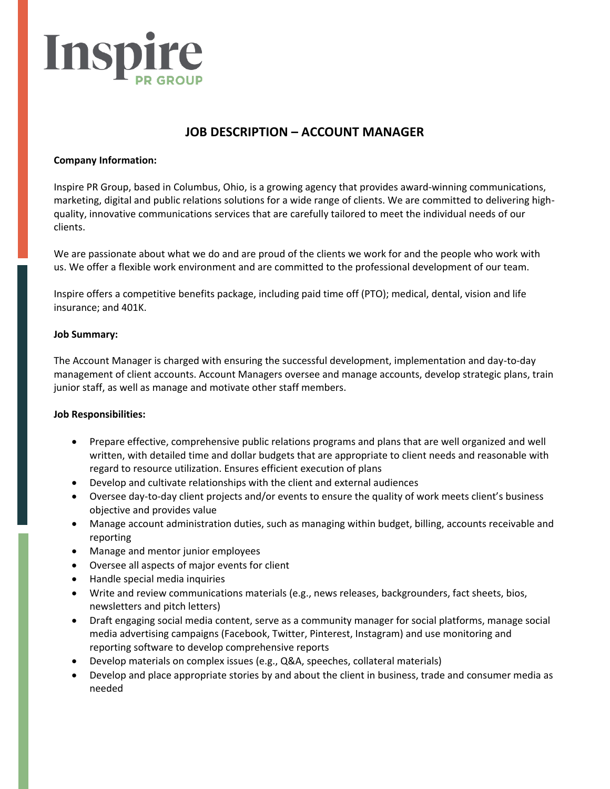

# **JOB DESCRIPTION – ACCOUNT MANAGER**

## **Company Information:**

Inspire PR Group, based in Columbus, Ohio, is a growing agency that provides award-winning communications, marketing, digital and public relations solutions for a wide range of clients. We are committed to delivering highquality, innovative communications services that are carefully tailored to meet the individual needs of our clients.

We are passionate about what we do and are proud of the clients we work for and the people who work with us. We offer a flexible work environment and are committed to the professional development of our team.

Inspire offers a competitive benefits package, including paid time off (PTO); medical, dental, vision and life insurance; and 401K.

### **Job Summary:**

The Account Manager is charged with ensuring the successful development, implementation and day-to-day management of client accounts. Account Managers oversee and manage accounts, develop strategic plans, train junior staff, as well as manage and motivate other staff members.

## **Job Responsibilities:**

- Prepare effective, comprehensive public relations programs and plans that are well organized and well written, with detailed time and dollar budgets that are appropriate to client needs and reasonable with regard to resource utilization. Ensures efficient execution of plans
- Develop and cultivate relationships with the client and external audiences
- Oversee day-to-day client projects and/or events to ensure the quality of work meets client's business objective and provides value
- Manage account administration duties, such as managing within budget, billing, accounts receivable and reporting
- Manage and mentor junior employees
- Oversee all aspects of major events for client
- Handle special media inquiries
- Write and review communications materials (e.g., news releases, backgrounders, fact sheets, bios, newsletters and pitch letters)
- Draft engaging social media content, serve as a community manager for social platforms, manage social media advertising campaigns (Facebook, Twitter, Pinterest, Instagram) and use monitoring and reporting software to develop comprehensive reports
- Develop materials on complex issues (e.g., Q&A, speeches, collateral materials)
- Develop and place appropriate stories by and about the client in business, trade and consumer media as needed